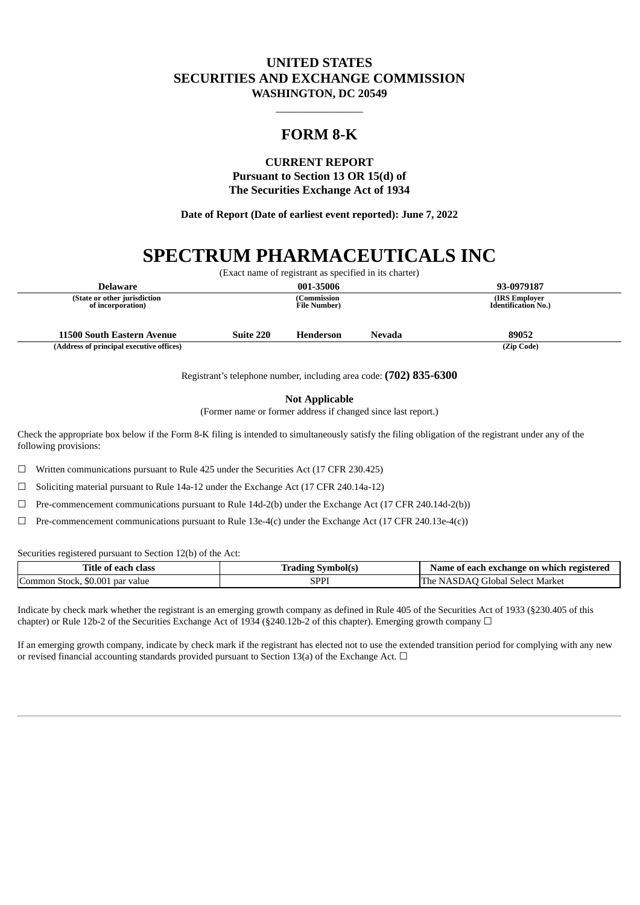## **UNITED STATES SECURITIES AND EXCHANGE COMMISSION WASHINGTON, DC 20549**

# **FORM 8-K**

\_\_\_\_\_\_\_\_\_\_\_\_\_\_\_

## **CURRENT REPORT Pursuant to Section 13 OR 15(d) of The Securities Exchange Act of 1934**

**Date of Report (Date of earliest event reported): June 7, 2022**

# **SPECTRUM PHARMACEUTICALS INC**

|                                                   |           | (Exact name of registrant as specified in its charter) |        |                                              |
|---------------------------------------------------|-----------|--------------------------------------------------------|--------|----------------------------------------------|
| <b>Delaware</b>                                   |           | 001-35006                                              |        | 93-0979187                                   |
| (State or other jurisdiction<br>of incorporation) |           | Commission<br><b>File Number</b> )                     |        | (IRS Employer)<br><b>Identification No.)</b> |
| 11500 South Eastern Avenue                        | Suite 220 | <b>Henderson</b>                                       | Nevada | 89052                                        |
| (Address of principal executive offices)          |           |                                                        |        | (Zip Code)                                   |

Registrant's telephone number, including area code: **(702) 835-6300**

**Not Applicable**

(Former name or former address if changed since last report.)

Check the appropriate box below if the Form 8-K filing is intended to simultaneously satisfy the filing obligation of the registrant under any of the following provisions:

☐ Written communications pursuant to Rule 425 under the Securities Act (17 CFR 230.425)

☐ Soliciting material pursuant to Rule 14a-12 under the Exchange Act (17 CFR 240.14a-12)

☐ Pre-commencement communications pursuant to Rule 14d-2(b) under the Exchange Act (17 CFR 240.14d-2(b))

 $\Box$  Pre-commencement communications pursuant to Rule 13e-4(c) under the Exchange Act (17 CFR 240.13e-4(c))

Securities registered pursuant to Section 12(b) of the Act:

| m <sup>*</sup><br>∡ïtle<br>class<br>each<br>≥ of             | Symbolts       | ' each exchange on<br>registereo<br>same<br>-which-<br>` 01 |
|--------------------------------------------------------------|----------------|-------------------------------------------------------------|
| $\sqrt{2}$<br>.00<br>$+0.015$<br>Comm<br>-par value<br>эюск. | וסס<br>1 1 1 ب | I he<br>Market<br>' ilobal '<br>. Select<br>۰٬⊔۱ـ<br>ור     |

Indicate by check mark whether the registrant is an emerging growth company as defined in Rule 405 of the Securities Act of 1933 (§230.405 of this chapter) or Rule 12b-2 of the Securities Exchange Act of 1934 (§240.12b-2 of this chapter). Emerging growth company  $\Box$ 

If an emerging growth company, indicate by check mark if the registrant has elected not to use the extended transition period for complying with any new or revised financial accounting standards provided pursuant to Section 13(a) of the Exchange Act.  $\Box$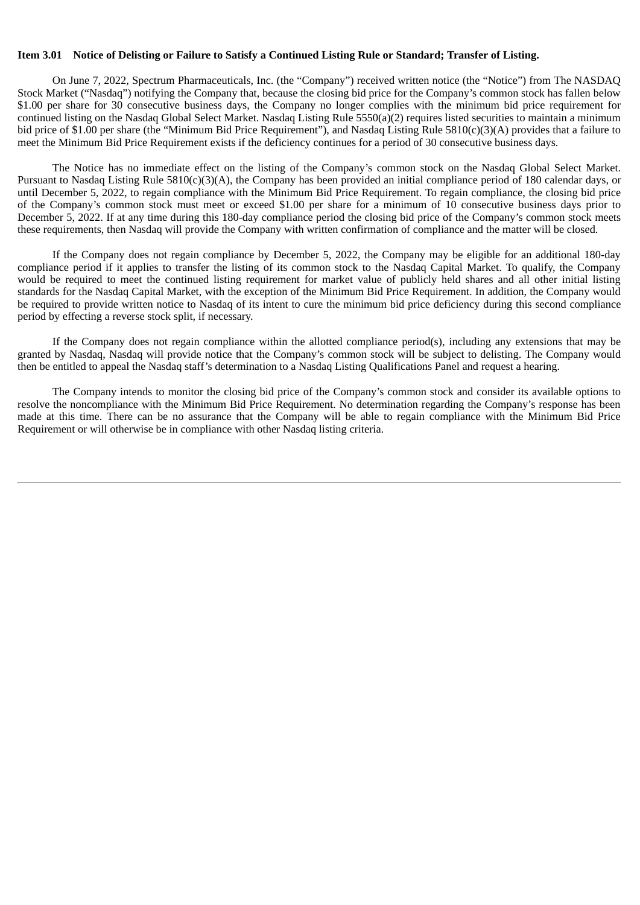#### Item 3.01 Notice of Delisting or Failure to Satisfy a Continued Listing Rule or Standard: Transfer of Listing.

On June 7, 2022, Spectrum Pharmaceuticals, Inc. (the "Company") received written notice (the "Notice") from The NASDAQ Stock Market ("Nasdaq") notifying the Company that, because the closing bid price for the Company's common stock has fallen below \$1.00 per share for 30 consecutive business days, the Company no longer complies with the minimum bid price requirement for continued listing on the Nasdaq Global Select Market. Nasdaq Listing Rule 5550(a)(2) requires listed securities to maintain a minimum bid price of \$1.00 per share (the "Minimum Bid Price Requirement"), and Nasdaq Listing Rule 5810(c)(3)(A) provides that a failure to meet the Minimum Bid Price Requirement exists if the deficiency continues for a period of 30 consecutive business days.

The Notice has no immediate effect on the listing of the Company's common stock on the Nasdaq Global Select Market. Pursuant to Nasdaq Listing Rule 5810(c)(3)(A), the Company has been provided an initial compliance period of 180 calendar days, or until December 5, 2022, to regain compliance with the Minimum Bid Price Requirement. To regain compliance, the closing bid price of the Company's common stock must meet or exceed \$1.00 per share for a minimum of 10 consecutive business days prior to December 5, 2022. If at any time during this 180-day compliance period the closing bid price of the Company's common stock meets these requirements, then Nasdaq will provide the Company with written confirmation of compliance and the matter will be closed.

If the Company does not regain compliance by December 5, 2022, the Company may be eligible for an additional 180-day compliance period if it applies to transfer the listing of its common stock to the Nasdaq Capital Market. To qualify, the Company would be required to meet the continued listing requirement for market value of publicly held shares and all other initial listing standards for the Nasdaq Capital Market, with the exception of the Minimum Bid Price Requirement. In addition, the Company would be required to provide written notice to Nasdaq of its intent to cure the minimum bid price deficiency during this second compliance period by effecting a reverse stock split, if necessary.

If the Company does not regain compliance within the allotted compliance period(s), including any extensions that may be granted by Nasdaq, Nasdaq will provide notice that the Company's common stock will be subject to delisting. The Company would then be entitled to appeal the Nasdaq staff's determination to a Nasdaq Listing Qualifications Panel and request a hearing.

The Company intends to monitor the closing bid price of the Company's common stock and consider its available options to resolve the noncompliance with the Minimum Bid Price Requirement. No determination regarding the Company's response has been made at this time. There can be no assurance that the Company will be able to regain compliance with the Minimum Bid Price Requirement or will otherwise be in compliance with other Nasdaq listing criteria.